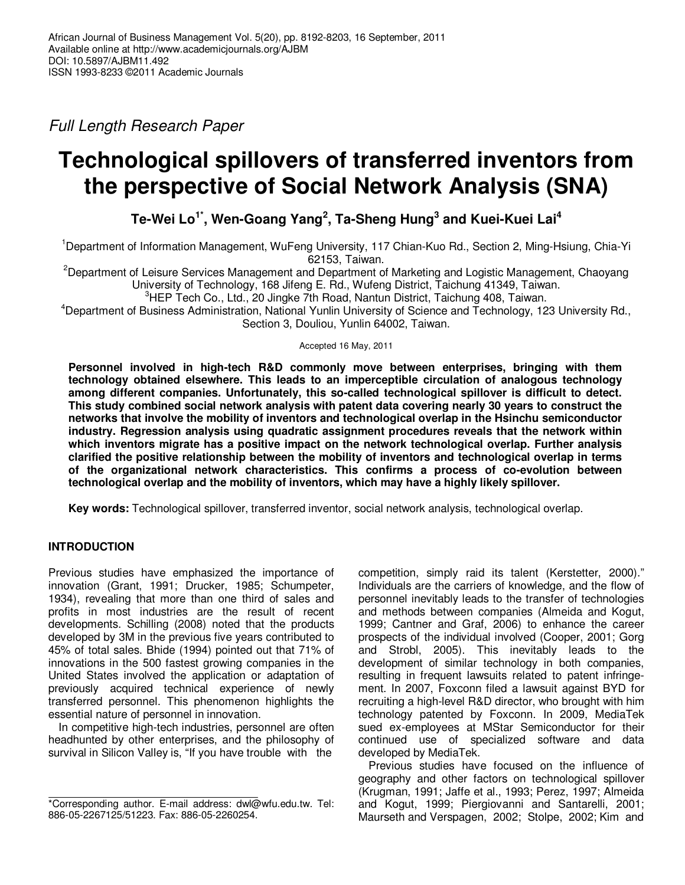Full Length Research Paper

# **Technological spillovers of transferred inventors from the perspective of Social Network Analysis (SNA)**

**Te-Wei Lo1\*, Wen-Goang Yang<sup>2</sup> , Ta-Sheng Hung<sup>3</sup> and Kuei-Kuei Lai<sup>4</sup>**

<sup>1</sup>Department of Information Management, WuFeng University, 117 Chian-Kuo Rd., Section 2, Ming-Hsiung, Chia-Yi 62153, Taiwan.

<sup>2</sup>Department of Leisure Services Management and Department of Marketing and Logistic Management, Chaoyang University of Technology, 168 Jifeng E. Rd., Wufeng District, Taichung 41349, Taiwan.

<sup>3</sup>HEP Tech Co., Ltd., 20 Jingke 7th Road, Nantun District, Taichung 408, Taiwan.

<sup>4</sup>Department of Business Administration, National Yunlin University of Science and Technology, 123 University Rd., Section 3, Douliou, Yunlin 64002, Taiwan.

Accepted 16 May, 2011

**Personnel involved in high-tech R&D commonly move between enterprises, bringing with them technology obtained elsewhere. This leads to an imperceptible circulation of analogous technology among different companies. Unfortunately, this so-called technological spillover is difficult to detect. This study combined social network analysis with patent data covering nearly 30 years to construct the networks that involve the mobility of inventors and technological overlap in the Hsinchu semiconductor industry. Regression analysis using quadratic assignment procedures reveals that the network within which inventors migrate has a positive impact on the network technological overlap. Further analysis clarified the positive relationship between the mobility of inventors and technological overlap in terms of the organizational network characteristics. This confirms a process of co-evolution between technological overlap and the mobility of inventors, which may have a highly likely spillover.** 

**Key words:** Technological spillover, transferred inventor, social network analysis, technological overlap.

# **INTRODUCTION**

Previous studies have emphasized the importance of innovation (Grant, 1991; Drucker, 1985; Schumpeter, 1934), revealing that more than one third of sales and profits in most industries are the result of recent developments. Schilling (2008) noted that the products developed by 3M in the previous five years contributed to 45% of total sales. Bhide (1994) pointed out that 71% of innovations in the 500 fastest growing companies in the United States involved the application or adaptation of previously acquired technical experience of newly transferred personnel. This phenomenon highlights the essential nature of personnel in innovation.

In competitive high-tech industries, personnel are often headhunted by other enterprises, and the philosophy of survival in Silicon Valley is, "If you have trouble with the

competition, simply raid its talent (Kerstetter, 2000)." Individuals are the carriers of knowledge, and the flow of personnel inevitably leads to the transfer of technologies and methods between companies (Almeida and Kogut, 1999; Cantner and Graf, 2006) to enhance the career prospects of the individual involved (Cooper, 2001; Gorg and Strobl, 2005). This inevitably leads to the development of similar technology in both companies, resulting in frequent lawsuits related to patent infringement. In 2007, Foxconn filed a lawsuit against BYD for recruiting a high-level R&D director, who brought with him technology patented by Foxconn. In 2009, MediaTek sued ex-employees at MStar Semiconductor for their continued use of specialized software and data developed by MediaTek.

Previous studies have focused on the influence of geography and other factors on technological spillover (Krugman, 1991; Jaffe et al., 1993; Perez, 1997; Almeida and Kogut, 1999; Piergiovanni and Santarelli, 2001; Maurseth and Verspagen, 2002; Stolpe, 2002; Kim and

<sup>\*</sup>Corresponding author. E-mail address: dwl@wfu.edu.tw. Tel: 886-05-2267125/51223. Fax: 886-05-2260254.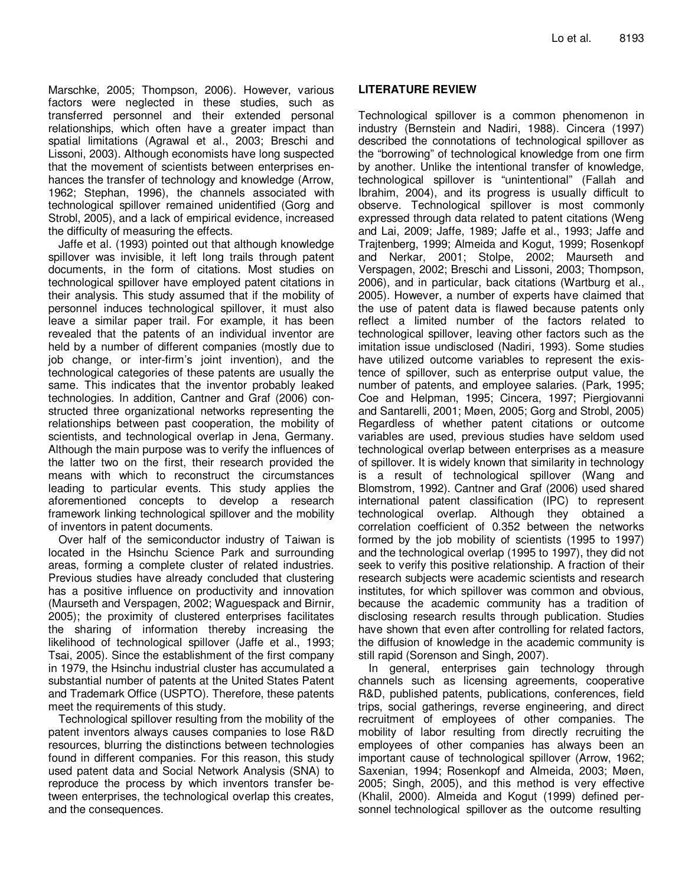Marschke, 2005; Thompson, 2006). However, various factors were neglected in these studies, such as transferred personnel and their extended personal relationships, which often have a greater impact than spatial limitations (Agrawal et al., 2003; Breschi and Lissoni, 2003). Although economists have long suspected that the movement of scientists between enterprises enhances the transfer of technology and knowledge (Arrow, 1962; Stephan, 1996), the channels associated with technological spillover remained unidentified (Gorg and Strobl, 2005), and a lack of empirical evidence, increased the difficulty of measuring the effects.

Jaffe et al. (1993) pointed out that although knowledge spillover was invisible, it left long trails through patent documents, in the form of citations. Most studies on technological spillover have employed patent citations in their analysis. This study assumed that if the mobility of personnel induces technological spillover, it must also leave a similar paper trail. For example, it has been revealed that the patents of an individual inventor are held by a number of different companies (mostly due to job change, or inter-firm's joint invention), and the technological categories of these patents are usually the same. This indicates that the inventor probably leaked technologies. In addition, Cantner and Graf (2006) constructed three organizational networks representing the relationships between past cooperation, the mobility of scientists, and technological overlap in Jena, Germany. Although the main purpose was to verify the influences of the latter two on the first, their research provided the means with which to reconstruct the circumstances leading to particular events. This study applies the aforementioned concepts to develop a research framework linking technological spillover and the mobility of inventors in patent documents.

Over half of the semiconductor industry of Taiwan is located in the Hsinchu Science Park and surrounding areas, forming a complete cluster of related industries. Previous studies have already concluded that clustering has a positive influence on productivity and innovation (Maurseth and Verspagen, 2002; Waguespack and Birnir, 2005); the proximity of clustered enterprises facilitates the sharing of information thereby increasing the likelihood of technological spillover (Jaffe et al., 1993; Tsai, 2005). Since the establishment of the first company in 1979, the Hsinchu industrial cluster has accumulated a substantial number of patents at the United States Patent and Trademark Office (USPTO). Therefore, these patents meet the requirements of this study.

Technological spillover resulting from the mobility of the patent inventors always causes companies to lose R&D resources, blurring the distinctions between technologies found in different companies. For this reason, this study used patent data and Social Network Analysis (SNA) to reproduce the process by which inventors transfer between enterprises, the technological overlap this creates, and the consequences.

## **LITERATURE REVIEW**

Technological spillover is a common phenomenon in industry (Bernstein and Nadiri, 1988). Cincera (1997) described the connotations of technological spillover as the "borrowing" of technological knowledge from one firm by another. Unlike the intentional transfer of knowledge, technological spillover is "unintentional" (Fallah and Ibrahim, 2004), and its progress is usually difficult to observe. Technological spillover is most commonly expressed through data related to patent citations (Weng and Lai, 2009; Jaffe, 1989; Jaffe et al., 1993; Jaffe and Trajtenberg, 1999; Almeida and Kogut, 1999; Rosenkopf and Nerkar, 2001; Stolpe, 2002; Maurseth and Verspagen, 2002; Breschi and Lissoni, 2003; Thompson, 2006), and in particular, back citations (Wartburg et al., 2005). However, a number of experts have claimed that the use of patent data is flawed because patents only reflect a limited number of the factors related to technological spillover, leaving other factors such as the imitation issue undisclosed (Nadiri, 1993). Some studies have utilized outcome variables to represent the existence of spillover, such as enterprise output value, the number of patents, and employee salaries. (Park, 1995; Coe and Helpman, 1995; Cincera, 1997; Piergiovanni and Santarelli, 2001; Møen, 2005; Gorg and Strobl, 2005) Regardless of whether patent citations or outcome variables are used, previous studies have seldom used technological overlap between enterprises as a measure of spillover. It is widely known that similarity in technology is a result of technological spillover (Wang and Blomstrom, 1992). Cantner and Graf (2006) used shared international patent classification (IPC) to represent technological overlap. Although they obtained a correlation coefficient of 0.352 between the networks formed by the job mobility of scientists (1995 to 1997) and the technological overlap (1995 to 1997), they did not seek to verify this positive relationship. A fraction of their research subjects were academic scientists and research institutes, for which spillover was common and obvious, because the academic community has a tradition of disclosing research results through publication. Studies have shown that even after controlling for related factors, the diffusion of knowledge in the academic community is still rapid (Sorenson and Singh, 2007).

In general, enterprises gain technology through channels such as licensing agreements, cooperative R&D, published patents, publications, conferences, field trips, social gatherings, reverse engineering, and direct recruitment of employees of other companies. The mobility of labor resulting from directly recruiting the employees of other companies has always been an important cause of technological spillover (Arrow, 1962; Saxenian, 1994; Rosenkopf and Almeida, 2003; Møen, 2005; Singh, 2005), and this method is very effective (Khalil, 2000). Almeida and Kogut (1999) defined personnel technological spillover as the outcome resulting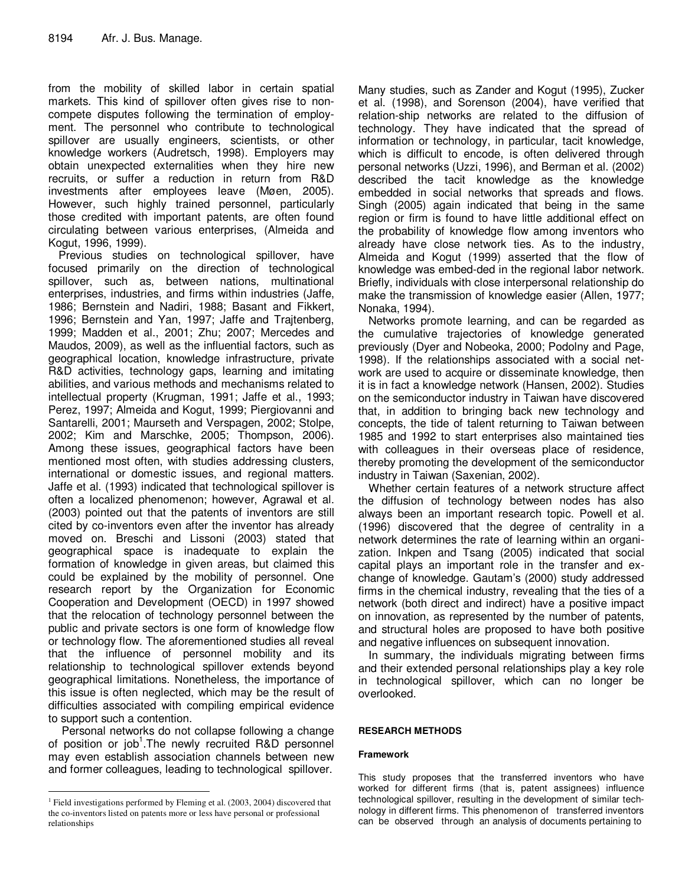from the mobility of skilled labor in certain spatial markets. This kind of spillover often gives rise to noncompete disputes following the termination of employment. The personnel who contribute to technological spillover are usually engineers, scientists, or other knowledge workers (Audretsch, 1998). Employers may obtain unexpected externalities when they hire new recruits, or suffer a reduction in return from R&D investments after employees leave (Møen, 2005). However, such highly trained personnel, particularly those credited with important patents, are often found circulating between various enterprises, (Almeida and Kogut, 1996, 1999).

Previous studies on technological spillover, have focused primarily on the direction of technological spillover, such as, between nations, multinational enterprises, industries, and firms within industries (Jaffe, 1986; Bernstein and Nadiri, 1988; Basant and Fikkert, 1996; Bernstein and Yan, 1997; Jaffe and Trajtenberg, 1999; Madden et al., 2001; Zhu; 2007; Mercedes and Maudos, 2009), as well as the influential factors, such as geographical location, knowledge infrastructure, private R&D activities, technology gaps, learning and imitating abilities, and various methods and mechanisms related to intellectual property (Krugman, 1991; Jaffe et al., 1993; Perez, 1997; Almeida and Kogut, 1999; Piergiovanni and Santarelli, 2001; Maurseth and Verspagen, 2002; Stolpe, 2002; Kim and Marschke, 2005; Thompson, 2006). Among these issues, geographical factors have been mentioned most often, with studies addressing clusters, international or domestic issues, and regional matters. Jaffe et al. (1993) indicated that technological spillover is often a localized phenomenon; however, Agrawal et al. (2003) pointed out that the patents of inventors are still cited by co-inventors even after the inventor has already moved on. Breschi and Lissoni (2003) stated that geographical space is inadequate to explain the formation of knowledge in given areas, but claimed this could be explained by the mobility of personnel. One research report by the Organization for Economic Cooperation and Development (OECD) in 1997 showed that the relocation of technology personnel between the public and private sectors is one form of knowledge flow or technology flow. The aforementioned studies all reveal that the influence of personnel mobility and its relationship to technological spillover extends beyond geographical limitations. Nonetheless, the importance of this issue is often neglected, which may be the result of difficulties associated with compiling empirical evidence to support such a contention.

 Personal networks do not collapse following a change of position or job<sup>1</sup>. The newly recruited R&D personnel may even establish association channels between new and former colleagues, leading to technological spillover.

l

Many studies, such as Zander and Kogut (1995), Zucker et al. (1998), and Sorenson (2004), have verified that relation-ship networks are related to the diffusion of technology. They have indicated that the spread of information or technology, in particular, tacit knowledge, which is difficult to encode, is often delivered through personal networks (Uzzi, 1996), and Berman et al. (2002) described the tacit knowledge as the knowledge embedded in social networks that spreads and flows. Singh (2005) again indicated that being in the same region or firm is found to have little additional effect on the probability of knowledge flow among inventors who already have close network ties. As to the industry, Almeida and Kogut (1999) asserted that the flow of knowledge was embed-ded in the regional labor network. Briefly, individuals with close interpersonal relationship do make the transmission of knowledge easier (Allen, 1977; Nonaka, 1994).

Networks promote learning, and can be regarded as the cumulative trajectories of knowledge generated previously (Dyer and Nobeoka, 2000; Podolny and Page, 1998). If the relationships associated with a social network are used to acquire or disseminate knowledge, then it is in fact a knowledge network (Hansen, 2002). Studies on the semiconductor industry in Taiwan have discovered that, in addition to bringing back new technology and concepts, the tide of talent returning to Taiwan between 1985 and 1992 to start enterprises also maintained ties with colleagues in their overseas place of residence, thereby promoting the development of the semiconductor industry in Taiwan (Saxenian, 2002).

Whether certain features of a network structure affect the diffusion of technology between nodes has also always been an important research topic. Powell et al. (1996) discovered that the degree of centrality in a network determines the rate of learning within an organization. Inkpen and Tsang (2005) indicated that social capital plays an important role in the transfer and exchange of knowledge. Gautam's (2000) study addressed firms in the chemical industry, revealing that the ties of a network (both direct and indirect) have a positive impact on innovation, as represented by the number of patents, and structural holes are proposed to have both positive and negative influences on subsequent innovation.

In summary, the individuals migrating between firms and their extended personal relationships play a key role in technological spillover, which can no longer be overlooked.

## **RESEARCH METHODS**

#### **Framework**

This study proposes that the transferred inventors who have worked for different firms (that is, patent assignees) influence technological spillover, resulting in the development of similar technology in different firms. This phenomenon of transferred inventors can be observed through an analysis of documents pertaining to

<sup>&</sup>lt;sup>1</sup> Field investigations performed by Fleming et al. (2003, 2004) discovered that the co-inventors listed on patents more or less have personal or professional relationships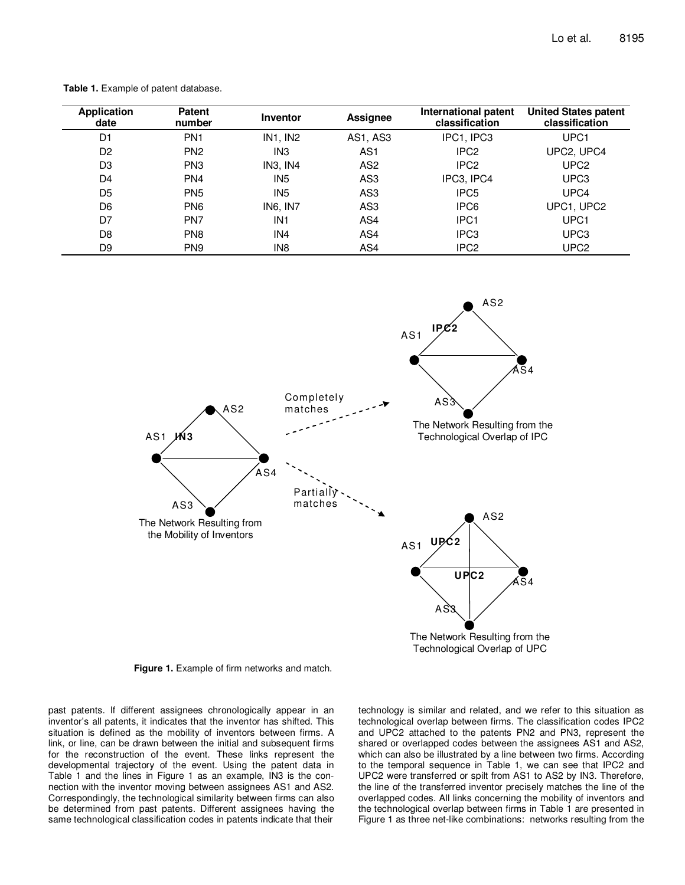| <b>Application</b><br>date | <b>Patent</b><br>number | <b>Inventor</b> | Assignee        | International patent<br>classification | <b>United States patent</b><br>classification |
|----------------------------|-------------------------|-----------------|-----------------|----------------------------------------|-----------------------------------------------|
| D1                         | PN <sub>1</sub>         | <b>IN1, IN2</b> | AS1, AS3        | IPC1, IPC3                             | UPC <sub>1</sub>                              |
| D <sub>2</sub>             | PN <sub>2</sub>         | IN <sub>3</sub> | AS <sub>1</sub> | IPC <sub>2</sub>                       | UPC2, UPC4                                    |
| D <sub>3</sub>             | PN <sub>3</sub>         | <b>IN3, IN4</b> | AS <sub>2</sub> | IPC <sub>2</sub>                       | UPC <sub>2</sub>                              |
| D4                         | PN <sub>4</sub>         | IN <sub>5</sub> | AS <sub>3</sub> | IPC3, IPC4                             | UPC <sub>3</sub>                              |
| D5                         | PN <sub>5</sub>         | IN <sub>5</sub> | AS <sub>3</sub> | IPC <sub>5</sub>                       | UPC4                                          |
| D6                         | PN <sub>6</sub>         | <b>IN6, IN7</b> | AS <sub>3</sub> | IPC <sub>6</sub>                       | UPC1, UPC2                                    |
| D7                         | PN <sub>7</sub>         | IN <sub>1</sub> | AS <sub>4</sub> | IPC1                                   | UPC <sub>1</sub>                              |
| D <sub>8</sub>             | PN <sub>8</sub>         | IN <sub>4</sub> | AS <sub>4</sub> | IPC <sub>3</sub>                       | UPC <sub>3</sub>                              |
| D9                         | PN <sub>9</sub>         | IN <sub>8</sub> | AS4             | IPC <sub>2</sub>                       | UPC <sub>2</sub>                              |

**Table 1.** Example of patent database.



**Figure 1.** Example of firm networks and match.

past patents. If different assignees chronologically appear in an inventor's all patents, it indicates that the inventor has shifted. This situation is defined as the mobility of inventors between firms. A link, or line, can be drawn between the initial and subsequent firms for the reconstruction of the event. These links represent the developmental trajectory of the event. Using the patent data in Table 1 and the lines in Figure 1 as an example, IN3 is the connection with the inventor moving between assignees AS1 and AS2. Correspondingly, the technological similarity between firms can also be determined from past patents. Different assignees having the same technological classification codes in patents indicate that their

technology is similar and related, and we refer to this situation as technological overlap between firms. The classification codes IPC2 and UPC2 attached to the patents PN2 and PN3, represent the shared or overlapped codes between the assignees AS1 and AS2, which can also be illustrated by a line between two firms. According to the temporal sequence in Table 1, we can see that IPC2 and UPC2 were transferred or spilt from AS1 to AS2 by IN3. Therefore, the line of the transferred inventor precisely matches the line of the overlapped codes. All links concerning the mobility of inventors and the technological overlap between firms in Table 1 are presented in Figure 1 as three net-like combinations: networks resulting from the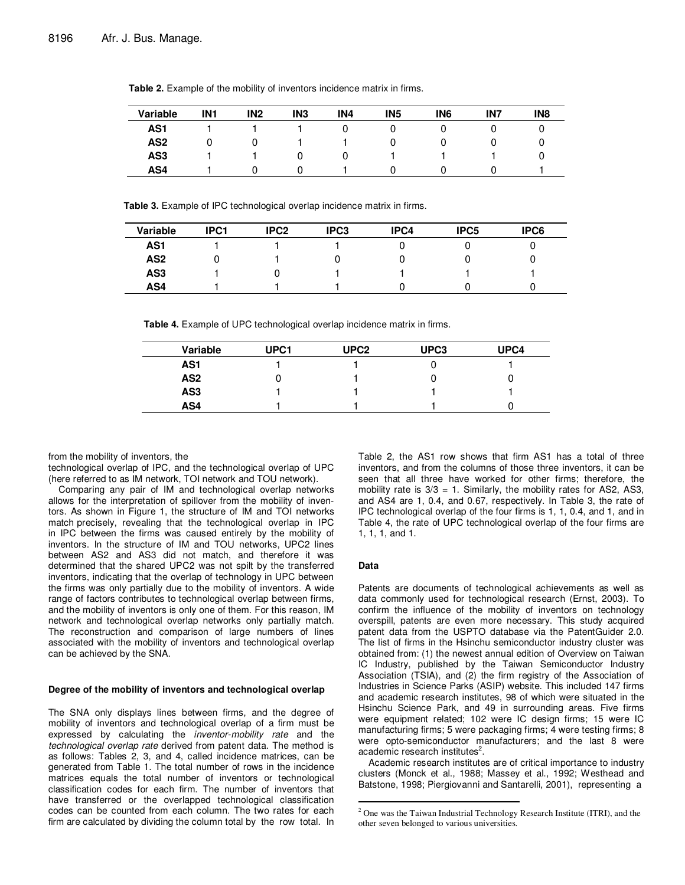| <b>Variable</b> | IN <sub>1</sub> | IN <sub>2</sub> | IN <sub>3</sub> | IN <sub>4</sub> | IN <sub>5</sub> | IN6 | IN <sub>7</sub> | IN <sub>8</sub> |
|-----------------|-----------------|-----------------|-----------------|-----------------|-----------------|-----|-----------------|-----------------|
| AS <sub>1</sub> |                 |                 |                 |                 |                 |     |                 |                 |
| AS <sub>2</sub> |                 |                 |                 |                 |                 |     |                 |                 |
| AS3             |                 |                 |                 |                 |                 |     |                 |                 |
| AS4             |                 |                 |                 |                 |                 |     |                 |                 |

**Table 2.** Example of the mobility of inventors incidence matrix in firms.

**Table 3.** Example of IPC technological overlap incidence matrix in firms.

| <b>Variable</b> | IPC <sub>1</sub> | IPC <sub>2</sub> | IPC <sub>3</sub> | IPC4 | IPC <sub>5</sub> | IPC6 |
|-----------------|------------------|------------------|------------------|------|------------------|------|
| AS <sub>1</sub> |                  |                  |                  |      |                  |      |
| AS <sub>2</sub> |                  |                  |                  |      |                  |      |
| AS <sub>3</sub> |                  |                  |                  |      |                  |      |
| AS4             |                  |                  |                  |      |                  |      |

**Table 4.** Example of UPC technological overlap incidence matrix in firms.

| Variable        | UPC <sub>1</sub> | UPC <sub>2</sub> | UPC <sub>3</sub> | UPC4 |
|-----------------|------------------|------------------|------------------|------|
| AS <sub>1</sub> |                  |                  |                  |      |
| AS <sub>2</sub> |                  |                  |                  |      |
| AS <sub>3</sub> |                  |                  |                  |      |
| AS4             |                  |                  |                  |      |

#### from the mobility of inventors, the

technological overlap of IPC, and the technological overlap of UPC (here referred to as IM network, TOI network and TOU network).

Comparing any pair of IM and technological overlap networks allows for the interpretation of spillover from the mobility of inventors. As shown in Figure 1, the structure of IM and TOI networks match precisely, revealing that the technological overlap in IPC in IPC between the firms was caused entirely by the mobility of inventors. In the structure of IM and TOU networks, UPC2 lines between AS2 and AS3 did not match, and therefore it was determined that the shared UPC2 was not spilt by the transferred inventors, indicating that the overlap of technology in UPC between the firms was only partially due to the mobility of inventors. A wide range of factors contributes to technological overlap between firms, and the mobility of inventors is only one of them. For this reason, IM network and technological overlap networks only partially match. The reconstruction and comparison of large numbers of lines associated with the mobility of inventors and technological overlap can be achieved by the SNA.

#### **Degree of the mobility of inventors and technological overlap**

The SNA only displays lines between firms, and the degree of mobility of inventors and technological overlap of a firm must be expressed by calculating the *inventor-mobility rate* and the technological overlap rate derived from patent data. The method is as follows: Tables 2, 3, and 4, called incidence matrices, can be generated from Table 1. The total number of rows in the incidence matrices equals the total number of inventors or technological classification codes for each firm. The number of inventors that have transferred or the overlapped technological classification codes can be counted from each column. The two rates for each firm are calculated by dividing the column total by the row total. In

Table 2, the AS1 row shows that firm AS1 has a total of three inventors, and from the columns of those three inventors, it can be seen that all three have worked for other firms; therefore, the mobility rate is  $3/3 = 1$ . Similarly, the mobility rates for AS2, AS3, and AS4 are 1, 0.4, and 0.67, respectively. In Table 3, the rate of IPC technological overlap of the four firms is 1, 1, 0.4, and 1, and in Table 4, the rate of UPC technological overlap of the four firms are 1, 1, 1, and 1.

#### **Data**

 $\overline{a}$ 

Patents are documents of technological achievements as well as data commonly used for technological research (Ernst, 2003). To confirm the influence of the mobility of inventors on technology overspill, patents are even more necessary. This study acquired patent data from the USPTO database via the PatentGuider 2.0. The list of firms in the Hsinchu semiconductor industry cluster was obtained from: (1) the newest annual edition of Overview on Taiwan IC Industry, published by the Taiwan Semiconductor Industry Association (TSIA), and (2) the firm registry of the Association of Industries in Science Parks (ASIP) website. This included 147 firms and academic research institutes, 98 of which were situated in the Hsinchu Science Park, and 49 in surrounding areas. Five firms were equipment related; 102 were IC design firms; 15 were IC manufacturing firms; 5 were packaging firms; 4 were testing firms; 8 were opto-semiconductor manufacturers; and the last 8 were academic research institutes $2$ .

Academic research institutes are of critical importance to industry clusters (Monck et al., 1988; Massey et al., 1992; Westhead and Batstone, 1998; Piergiovanni and Santarelli, 2001), representing a

 $2^2$  One was the Taiwan Industrial Technology Research Institute (ITRI), and the other seven belonged to various universities.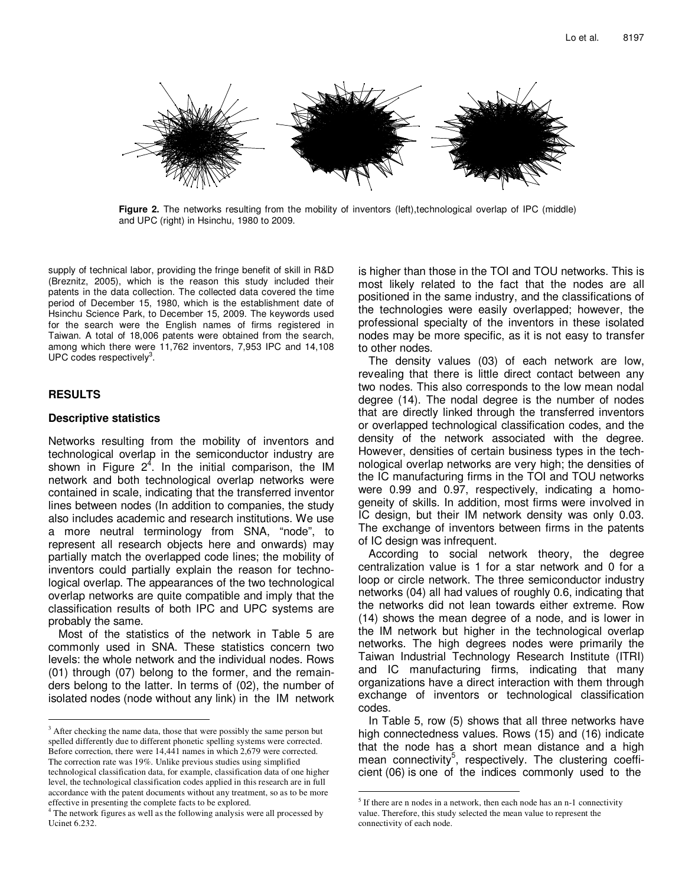

**Figure 2.** The networks resulting from the mobility of inventors (left),technological overlap of IPC (middle) and UPC (right) in Hsinchu, 1980 to 2009.

 $\overline{a}$ 

supply of technical labor, providing the fringe benefit of skill in R&D (Breznitz, 2005), which is the reason this study included their patents in the data collection. The collected data covered the time period of December 15, 1980, which is the establishment date of Hsinchu Science Park, to December 15, 2009. The keywords used for the search were the English names of firms registered in Taiwan. A total of 18,006 patents were obtained from the search, among which there were 11,762 inventors, 7,953 IPC and 14,108 UPC codes respectively<sup>3</sup>.

## **RESULTS**

 $\overline{a}$ 

### **Descriptive statistics**

Networks resulting from the mobility of inventors and technological overlap in the semiconductor industry are shown in Figure  $2^4$ . In the initial comparison, the IM network and both technological overlap networks were contained in scale, indicating that the transferred inventor lines between nodes (In addition to companies, the study also includes academic and research institutions. We use a more neutral terminology from SNA, "node", to represent all research objects here and onwards) may partially match the overlapped code lines; the mobility of inventors could partially explain the reason for technological overlap. The appearances of the two technological overlap networks are quite compatible and imply that the classification results of both IPC and UPC systems are probably the same.

Most of the statistics of the network in Table 5 are commonly used in SNA. These statistics concern two levels: the whole network and the individual nodes. Rows (01) through (07) belong to the former, and the remainders belong to the latter. In terms of (02), the number of isolated nodes (node without any link) in the IM network

is higher than those in the TOI and TOU networks. This is most likely related to the fact that the nodes are all positioned in the same industry, and the classifications of the technologies were easily overlapped; however, the professional specialty of the inventors in these isolated nodes may be more specific, as it is not easy to transfer to other nodes.

The density values (03) of each network are low, revealing that there is little direct contact between any two nodes. This also corresponds to the low mean nodal degree (14). The nodal degree is the number of nodes that are directly linked through the transferred inventors or overlapped technological classification codes, and the density of the network associated with the degree. However, densities of certain business types in the technological overlap networks are very high; the densities of the IC manufacturing firms in the TOI and TOU networks were 0.99 and 0.97, respectively, indicating a homogeneity of skills. In addition, most firms were involved in IC design, but their IM network density was only 0.03. The exchange of inventors between firms in the patents of IC design was infrequent.

According to social network theory, the degree centralization value is 1 for a star network and 0 for a loop or circle network. The three semiconductor industry networks (04) all had values of roughly 0.6, indicating that the networks did not lean towards either extreme. Row (14) shows the mean degree of a node, and is lower in the IM network but higher in the technological overlap networks. The high degrees nodes were primarily the Taiwan Industrial Technology Research Institute (ITRI) and IC manufacturing firms, indicating that many organizations have a direct interaction with them through exchange of inventors or technological classification codes.

In Table 5, row (5) shows that all three networks have high connectedness values. Rows (15) and (16) indicate that the node has a short mean distance and a high mean connectivity<sup>5</sup>, respectively. The clustering coefficient (06) is one of the indices commonly used to the

<sup>&</sup>lt;sup>3</sup> After checking the name data, those that were possibly the same person but spelled differently due to different phonetic spelling systems were corrected. Before correction, there were 14,441 names in which 2,679 were corrected. The correction rate was 19%. Unlike previous studies using simplified technological classification data, for example, classification data of one higher level, the technological classification codes applied in this research are in full accordance with the patent documents without any treatment, so as to be more effective in presenting the complete facts to be explored.

<sup>&</sup>lt;sup>4</sup> The network figures as well as the following analysis were all processed by Ucinet 6.232.

<sup>&</sup>lt;sup>5</sup> If there are n nodes in a network, then each node has an n-1 connectivity value. Therefore, this study selected the mean value to represent the connectivity of each node.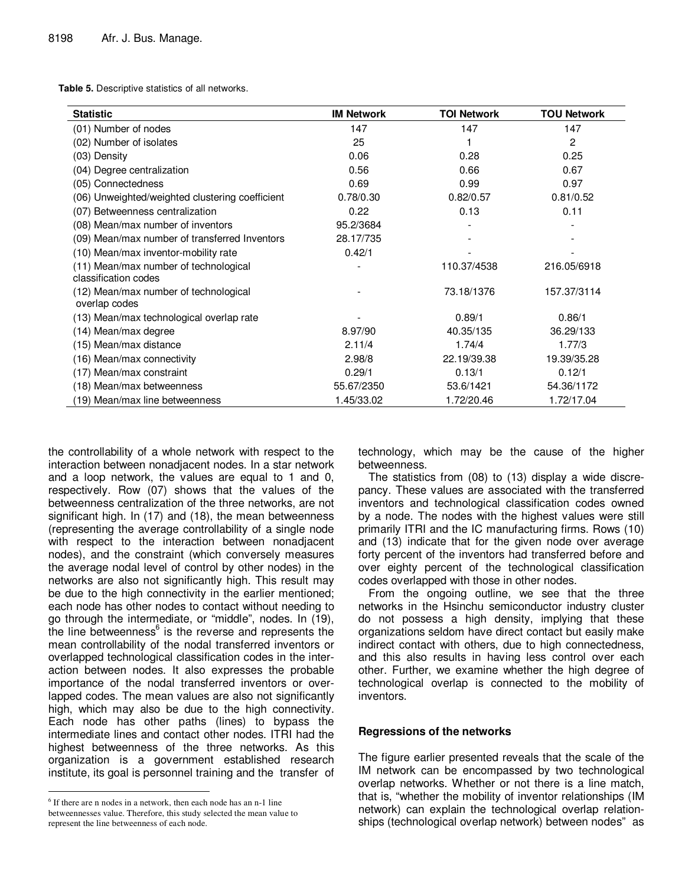**Table 5.** Descriptive statistics of all networks.

| <b>Statistic</b>                                              | <b>IM Network</b> | <b>TOI Network</b> | <b>TOU Network</b> |
|---------------------------------------------------------------|-------------------|--------------------|--------------------|
| (01) Number of nodes                                          | 147               | 147                | 147                |
| (02) Number of isolates                                       | 25                |                    | 2                  |
| (03) Density                                                  | 0.06              | 0.28               | 0.25               |
| (04) Degree centralization                                    | 0.56              | 0.66               | 0.67               |
| (05) Connectedness                                            | 0.69              | 0.99               | 0.97               |
| (06) Unweighted/weighted clustering coefficient               | 0.78/0.30         | 0.82/0.57          | 0.81/0.52          |
| (07) Betweenness centralization                               | 0.22              | 0.13               | 0.11               |
| (08) Mean/max number of inventors                             | 95.2/3684         |                    |                    |
| (09) Mean/max number of transferred Inventors                 | 28.17/735         |                    |                    |
| (10) Mean/max inventor-mobility rate                          | 0.42/1            |                    |                    |
| (11) Mean/max number of technological<br>classification codes |                   | 110.37/4538        | 216.05/6918        |
| (12) Mean/max number of technological<br>overlap codes        |                   | 73.18/1376         | 157.37/3114        |
| (13) Mean/max technological overlap rate                      |                   | 0.89/1             | 0.86/1             |
| (14) Mean/max degree                                          | 8.97/90           | 40.35/135          | 36.29/133          |
| (15) Mean/max distance                                        | 2.11/4            | 1.74/4             | 1.77/3             |
| (16) Mean/max connectivity                                    | 2.98/8            | 22.19/39.38        | 19.39/35.28        |
| (17) Mean/max constraint                                      | 0.29/1            | 0.13/1             | 0.12/1             |
| (18) Mean/max betweenness                                     | 55.67/2350        | 53.6/1421          | 54.36/1172         |
| 19) Mean/max line betweenness                                 | 1.45/33.02        | 1.72/20.46         | 1.72/17.04         |

the controllability of a whole network with respect to the interaction between nonadjacent nodes. In a star network and a loop network, the values are equal to 1 and 0, respectively. Row (07) shows that the values of the betweenness centralization of the three networks, are not significant high. In (17) and (18), the mean betweenness (representing the average controllability of a single node with respect to the interaction between nonadjacent nodes), and the constraint (which conversely measures the average nodal level of control by other nodes) in the networks are also not significantly high. This result may be due to the high connectivity in the earlier mentioned; each node has other nodes to contact without needing to go through the intermediate, or "middle", nodes. In (19), the line betweenness<sup>6</sup> is the reverse and represents the mean controllability of the nodal transferred inventors or overlapped technological classification codes in the interaction between nodes. It also expresses the probable importance of the nodal transferred inventors or overlapped codes. The mean values are also not significantly high, which may also be due to the high connectivity. Each node has other paths (lines) to bypass the intermediate lines and contact other nodes. ITRI had the highest betweenness of the three networks. As this organization is a government established research institute, its goal is personnel training and the transfer of

l

technology, which may be the cause of the higher betweenness.

The statistics from (08) to (13) display a wide discrepancy. These values are associated with the transferred inventors and technological classification codes owned by a node. The nodes with the highest values were still primarily ITRI and the IC manufacturing firms. Rows (10) and (13) indicate that for the given node over average forty percent of the inventors had transferred before and over eighty percent of the technological classification codes overlapped with those in other nodes.

From the ongoing outline, we see that the three networks in the Hsinchu semiconductor industry cluster do not possess a high density, implying that these organizations seldom have direct contact but easily make indirect contact with others, due to high connectedness, and this also results in having less control over each other. Further, we examine whether the high degree of technological overlap is connected to the mobility of inventors.

# **Regressions of the networks**

The figure earlier presented reveals that the scale of the IM network can be encompassed by two technological overlap networks. Whether or not there is a line match, that is, "whether the mobility of inventor relationships (IM network) can explain the technological overlap relationships (technological overlap network) between nodes" as

<sup>&</sup>lt;sup>6</sup> If there are n nodes in a network, then each node has an n-1 line betweennesses value. Therefore, this study selected the mean value to represent the line betweenness of each node.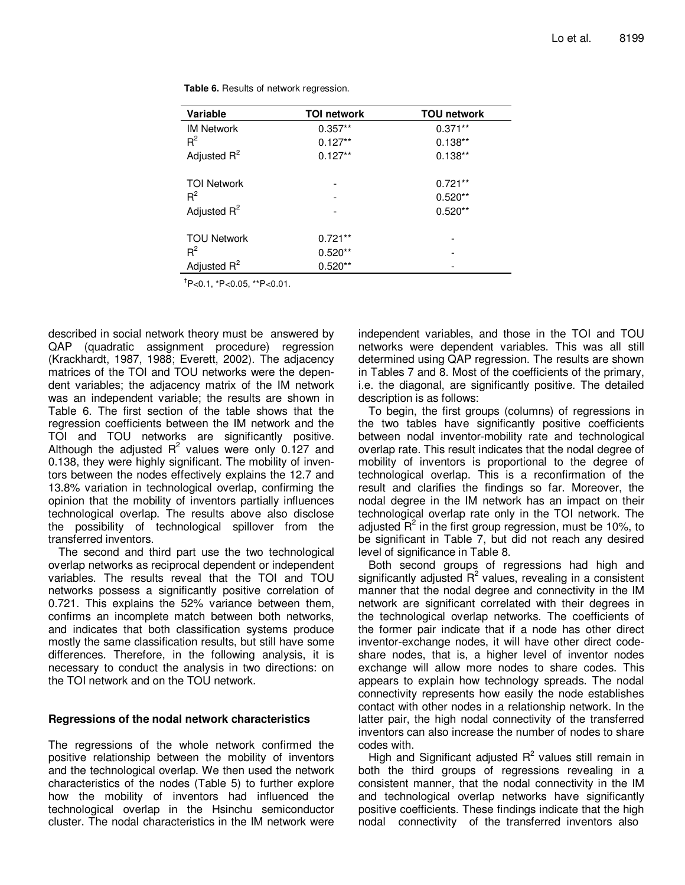| Variable           | <b>TOI network</b> | <b>TOU network</b> |
|--------------------|--------------------|--------------------|
| <b>IM Network</b>  | $0.357**$          | $0.371**$          |
| $R^2$              | $0.127**$          | $0.138**$          |
| Adjusted $R^2$     | $0.127**$          | $0.138**$          |
| <b>TOI Network</b> |                    | $0.721**$          |
| $R^2$              |                    | $0.520**$          |
| Adjusted $R^2$     |                    | $0.520**$          |
| <b>TOU Network</b> | $0.721**$          |                    |
| $R^2$              | $0.520**$          |                    |
| Adjusted $R^2$     | $0.520**$          |                    |

† P<0.1, \*P<0.05, \*\*P<0.01.

described in social network theory must be answered by QAP (quadratic assignment procedure) regression (Krackhardt, 1987, 1988; Everett, 2002). The adjacency matrices of the TOI and TOU networks were the dependent variables; the adjacency matrix of the IM network was an independent variable; the results are shown in Table 6. The first section of the table shows that the regression coefficients between the IM network and the TOI and TOU networks are significantly positive. Although the adjusted  $R^2$  values were only 0.127 and 0.138, they were highly significant. The mobility of inventors between the nodes effectively explains the 12.7 and 13.8% variation in technological overlap, confirming the opinion that the mobility of inventors partially influences technological overlap. The results above also disclose the possibility of technological spillover from the transferred inventors.

The second and third part use the two technological overlap networks as reciprocal dependent or independent variables. The results reveal that the TOI and TOU networks possess a significantly positive correlation of 0.721. This explains the 52% variance between them, confirms an incomplete match between both networks, and indicates that both classification systems produce mostly the same classification results, but still have some differences. Therefore, in the following analysis, it is necessary to conduct the analysis in two directions: on the TOI network and on the TOU network.

## **Regressions of the nodal network characteristics**

The regressions of the whole network confirmed the positive relationship between the mobility of inventors and the technological overlap. We then used the network characteristics of the nodes (Table 5) to further explore how the mobility of inventors had influenced the technological overlap in the Hsinchu semiconductor cluster. The nodal characteristics in the IM network were

independent variables, and those in the TOI and TOU networks were dependent variables. This was all still determined using QAP regression. The results are shown in Tables 7 and 8. Most of the coefficients of the primary, i.e. the diagonal, are significantly positive. The detailed description is as follows:

To begin, the first groups (columns) of regressions in the two tables have significantly positive coefficients between nodal inventor-mobility rate and technological overlap rate. This result indicates that the nodal degree of mobility of inventors is proportional to the degree of technological overlap. This is a reconfirmation of the result and clarifies the findings so far. Moreover, the nodal degree in the IM network has an impact on their technological overlap rate only in the TOI network. The adjusted  $R^2$  in the first group regression, must be 10%, to be significant in Table 7, but did not reach any desired level of significance in Table 8.

Both second groups of regressions had high and significantly adjusted  $R^2$  values, revealing in a consistent manner that the nodal degree and connectivity in the IM network are significant correlated with their degrees in the technological overlap networks. The coefficients of the former pair indicate that if a node has other direct inventor-exchange nodes, it will have other direct codeshare nodes, that is, a higher level of inventor nodes exchange will allow more nodes to share codes. This appears to explain how technology spreads. The nodal connectivity represents how easily the node establishes contact with other nodes in a relationship network. In the latter pair, the high nodal connectivity of the transferred inventors can also increase the number of nodes to share codes with.

High and Significant adjusted  $R^2$  values still remain in both the third groups of regressions revealing in a consistent manner, that the nodal connectivity in the IM and technological overlap networks have significantly positive coefficients. These findings indicate that the high nodal connectivity of the transferred inventors also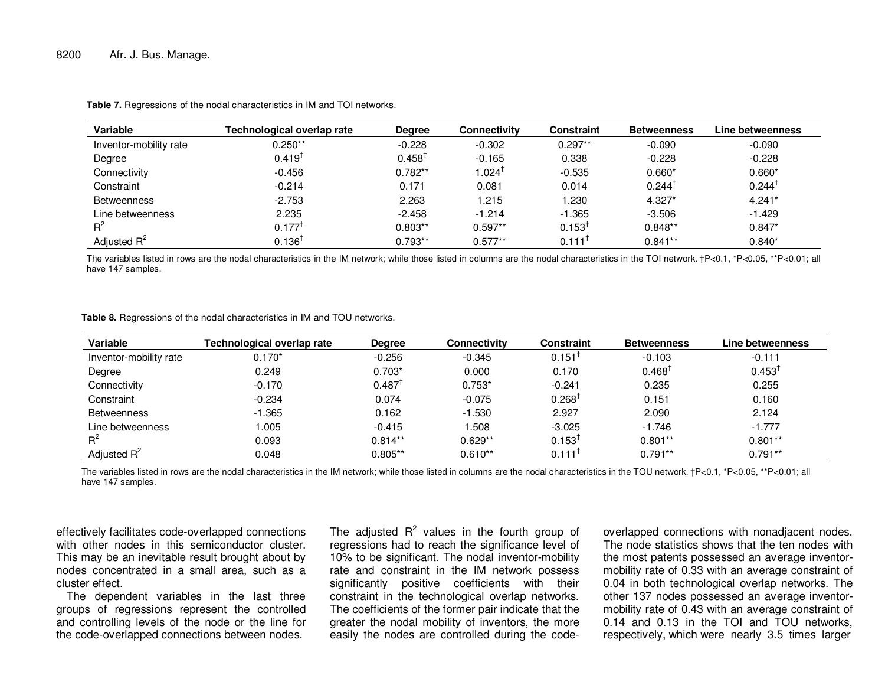| Variable               | Technological overlap rate | <b>Degree</b> | <b>Connectivity</b> | <b>Constraint</b> | <b>Betweenness</b> | Line betweenness     |
|------------------------|----------------------------|---------------|---------------------|-------------------|--------------------|----------------------|
| Inventor-mobility rate | $0.250**$                  | $-0.228$      | $-0.302$            | $0.297**$         | $-0.090$           | $-0.090$             |
| Degree                 | $0.419^{T}$                | 0.458         | $-0.165$            | 0.338             | $-0.228$           | $-0.228$             |
| Connectivity           | $-0.456$                   | $0.782**$     | $1.024^{\dagger}$   | $-0.535$          | $0.660*$           | $0.660*$             |
| Constraint             | $-0.214$                   | 0.171         | 0.081               | 0.014             | $0.244^{\dagger}$  | $0.244$ <sup>t</sup> |
| <b>Betweenness</b>     | $-2.753$                   | 2.263         | 1.215               | .230              | $4.327*$           | $4.241*$             |
| Line betweenness       | 2.235                      | $-2.458$      | $-1.214$            | $-1.365$          | $-3.506$           | $-1.429$             |
| $R^2$                  | $0.177^{\dagger}$          | $0.803**$     | $0.597**$           | $0.153^{\dagger}$ | $0.848**$          | $0.847*$             |
| Adjusted $R^2$         | $0.136$ <sup>t</sup>       | $0.793**$     | $0.577**$           | $0.111^T$         | $0.841**$          | $0.840*$             |

**Table 7.** Regressions of the nodal characteristics in IM and TOI networks.

The variables listed in rows are the nodal characteristics in the IM network; while those listed in columns are the nodal characteristics in the TOI network. †P<0.1, \*P<0.05, \*\*P<0.01; all have 147 samples.

**Table 8.** Regressions of the nodal characteristics in IM and TOU networks.

| <b>Variable</b>        | Technological overlap rate | <b>Degree</b>        | <b>Connectivity</b> | Constraint           | <b>Betweenness</b> | Line betweenness  |
|------------------------|----------------------------|----------------------|---------------------|----------------------|--------------------|-------------------|
| Inventor-mobility rate | $0.170*$                   | $-0.256$             | $-0.345$            | $0.151$ <sup>1</sup> | $-0.103$           | $-0.111$          |
| Degree                 | 0.249                      | $0.703*$             | 0.000               | 0.170                | $0.468^{\dagger}$  | $0.453^{\dagger}$ |
| Connectivity           | $-0.170$                   | $0.487$ <sup>1</sup> | $0.753*$            | $-0.241$             | 0.235              | 0.255             |
| Constraint             | $-0.234$                   | 0.074                | $-0.075$            | 0.268                | 0.151              | 0.160             |
| <b>Betweenness</b>     | $-1.365$                   | 0.162                | $-1.530$            | 2.927                | 2.090              | 2.124             |
| Line betweenness       | .005                       | $-0.415$             | .508                | $-3.025$             | $-1.746$           | $-1.777$          |
| $R^2$                  | 0.093                      | $0.814**$            | $0.629**$           | $0.153$ <sup>1</sup> | $0.801**$          | $0.801**$         |
| Adjusted $R^2$         | 0.048                      | $0.805**$            | $0.610**$           | $0.111$ <sup>1</sup> | $0.791**$          | $0.791**$         |

The variables listed in rows are the nodal characteristics in the IM network; while those listed in columns are the nodal characteristics in the TOU network. †P<0.1, \*P<0.05, \*\*P<0.01; all have 147 samples.

effectively facilitates code-overlapped connections with other nodes in this semiconductor cluster. This may be an inevitable result brought about by nodes concentrated in a small area, such as a cluster effect.

 The dependent variables in the last three groups of regressions represent the controlled and controlling levels of the node or the line for the code-overlapped connections between nodes.

The adjusted  $R^2$  values in the fourth group of regressions had to reach the significance level of 10% to be significant. The nodal inventor-mobility rate and constraint in the IM network possess significantly positive coefficients with their constraint in the technological overlap networks. The coefficients of the former pair indicate that the greater the nodal mobility of inventors, the more easily the nodes are controlled during the code-

overlapped connections with nonadjacent nodes. The node statistics shows that the ten nodes with the most patents possessed an average inventormobility rate of 0.33 with an average constraint of 0.04 in both technological overlap networks. The other 137 nodes possessed an average inventormobility rate of 0.43 with an average constraint of 0.14 and 0.13 in the TOI and TOU networks, respectively, which were nearly 3.5 times larger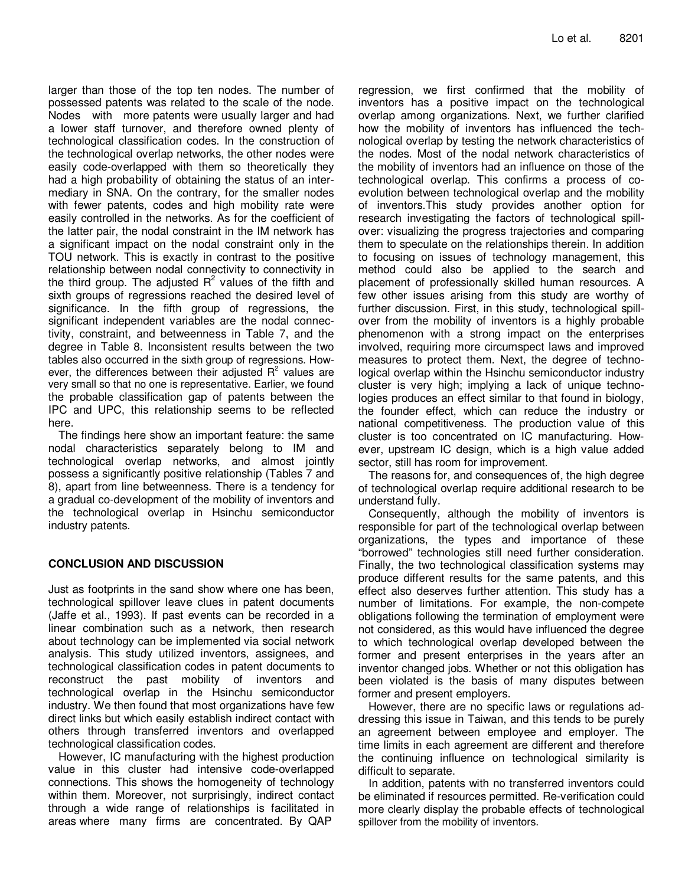larger than those of the top ten nodes. The number of possessed patents was related to the scale of the node. Nodes with more patents were usually larger and had a lower staff turnover, and therefore owned plenty of technological classification codes. In the construction of the technological overlap networks, the other nodes were easily code-overlapped with them so theoretically they had a high probability of obtaining the status of an intermediary in SNA. On the contrary, for the smaller nodes with fewer patents, codes and high mobility rate were easily controlled in the networks. As for the coefficient of the latter pair, the nodal constraint in the IM network has a significant impact on the nodal constraint only in the TOU network. This is exactly in contrast to the positive relationship between nodal connectivity to connectivity in the third group. The adjusted  $R^2$  values of the fifth and sixth groups of regressions reached the desired level of significance. In the fifth group of regressions, the significant independent variables are the nodal connectivity, constraint, and betweenness in Table 7, and the degree in Table 8. Inconsistent results between the two tables also occurred in the sixth group of regressions. However, the differences between their adjusted  $R^2$  values are very small so that no one is representative. Earlier, we found the probable classification gap of patents between the IPC and UPC, this relationship seems to be reflected here.

The findings here show an important feature: the same nodal characteristics separately belong to IM and technological overlap networks, and almost jointly possess a significantly positive relationship (Tables 7 and 8), apart from line betweenness. There is a tendency for a gradual co-development of the mobility of inventors and the technological overlap in Hsinchu semiconductor industry patents.

# **CONCLUSION AND DISCUSSION**

Just as footprints in the sand show where one has been, technological spillover leave clues in patent documents (Jaffe et al., 1993). If past events can be recorded in a linear combination such as a network, then research about technology can be implemented via social network analysis. This study utilized inventors, assignees, and technological classification codes in patent documents to reconstruct the past mobility of inventors and technological overlap in the Hsinchu semiconductor industry. We then found that most organizations have few direct links but which easily establish indirect contact with others through transferred inventors and overlapped technological classification codes.

However, IC manufacturing with the highest production value in this cluster had intensive code-overlapped connections. This shows the homogeneity of technology within them. Moreover, not surprisingly, indirect contact through a wide range of relationships is facilitated in areas where many firms are concentrated. By QAP

regression, we first confirmed that the mobility of inventors has a positive impact on the technological overlap among organizations. Next, we further clarified how the mobility of inventors has influenced the technological overlap by testing the network characteristics of the nodes. Most of the nodal network characteristics of the mobility of inventors had an influence on those of the technological overlap. This confirms a process of coevolution between technological overlap and the mobility of inventors.This study provides another option for research investigating the factors of technological spillover: visualizing the progress trajectories and comparing them to speculate on the relationships therein. In addition to focusing on issues of technology management, this method could also be applied to the search and placement of professionally skilled human resources. A few other issues arising from this study are worthy of further discussion. First, in this study, technological spillover from the mobility of inventors is a highly probable phenomenon with a strong impact on the enterprises involved, requiring more circumspect laws and improved measures to protect them. Next, the degree of technological overlap within the Hsinchu semiconductor industry cluster is very high; implying a lack of unique technologies produces an effect similar to that found in biology, the founder effect, which can reduce the industry or national competitiveness. The production value of this cluster is too concentrated on IC manufacturing. However, upstream IC design, which is a high value added sector, still has room for improvement.

The reasons for, and consequences of, the high degree of technological overlap require additional research to be understand fully.

Consequently, although the mobility of inventors is responsible for part of the technological overlap between organizations, the types and importance of these "borrowed" technologies still need further consideration. Finally, the two technological classification systems may produce different results for the same patents, and this effect also deserves further attention. This study has a number of limitations. For example, the non-compete obligations following the termination of employment were not considered, as this would have influenced the degree to which technological overlap developed between the former and present enterprises in the years after an inventor changed jobs. Whether or not this obligation has been violated is the basis of many disputes between former and present employers.

However, there are no specific laws or regulations addressing this issue in Taiwan, and this tends to be purely an agreement between employee and employer. The time limits in each agreement are different and therefore the continuing influence on technological similarity is difficult to separate.

In addition, patents with no transferred inventors could be eliminated if resources permitted. Re-verification could more clearly display the probable effects of technological spillover from the mobility of inventors.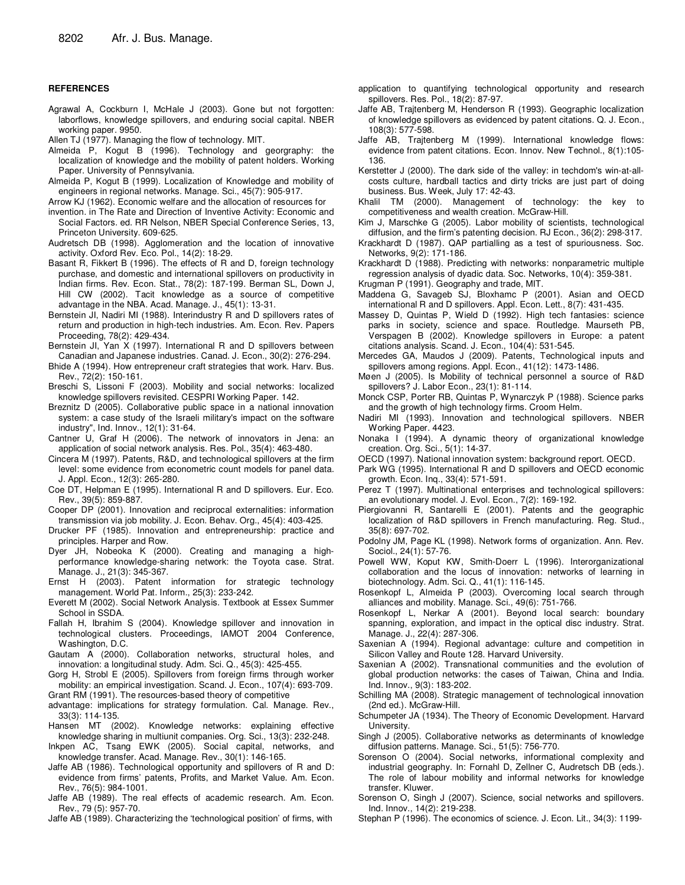#### **REFERENCES**

- Agrawal A, Cockburn I, McHale J (2003). Gone but not forgotten: laborflows, knowledge spillovers, and enduring social capital. NBER working paper. 9950.
- Allen TJ (1977). Managing the flow of technology. MIT.
- Almeida P, Kogut B (1996). Technology and georgraphy: the localization of knowledge and the mobility of patent holders. Working Paper. University of Pennsylvania.
- Almeida P, Kogut B (1999). Localization of Knowledge and mobility of engineers in regional networks. Manage. Sci., 45(7): 905-917.
- Arrow KJ (1962). Economic welfare and the allocation of resources for
- invention. in The Rate and Direction of Inventive Activity: Economic and Social Factors. ed. RR Nelson, NBER Special Conference Series, 13, Princeton University. 609-625.
- Audretsch DB (1998). Agglomeration and the location of innovative activity. Oxford Rev. Eco. Pol., 14(2): 18-29.
- Basant R, Fikkert B (1996). The effects of R and D, foreign technology purchase, and domestic and international spillovers on productivity in Indian firms. Rev. Econ. Stat., 78(2): 187-199. Berman SL, Down J, Hill CW (2002). Tacit knowledge as a source of competitive advantage in the NBA. Acad. Manage. J., 45(1): 13-31.
- Bernstein JI, Nadiri MI (1988). Interindustry R and D spillovers rates of return and production in high-tech industries. Am. Econ. Rev. Papers Proceeding, 78(2): 429-434.
- Bernstein JI, Yan X (1997). International R and D spillovers between Canadian and Japanese industries. Canad. J. Econ., 30(2): 276-294.
- Bhide A (1994). How entrepreneur craft strategies that work. Harv. Bus. Rev., 72(2): 150-161.
- Breschi S, Lissoni F (2003). Mobility and social networks: localized knowledge spillovers revisited. CESPRI Working Paper. 142.
- Breznitz D (2005). Collaborative public space in a national innovation system: a case study of the Israeli military's impact on the software industry", Ind. Innov., 12(1): 31-64.
- Cantner U, Graf H (2006). The network of innovators in Jena: an application of social network analysis. Res. Pol., 35(4): 463-480.
- Cincera M (1997). Patents, R&D, and technological spillovers at the firm level: some evidence from econometric count models for panel data. J. Appl. Econ., 12(3): 265-280.
- Coe DT, Helpman E (1995). International R and D spillovers. Eur. Eco. Rev., 39(5): 859-887.
- Cooper DP (2001). Innovation and reciprocal externalities: information transmission via job mobility. J. Econ. Behav. Org., 45(4): 403-425.
- Drucker PF (1985). Innovation and entrepreneurship: practice and principles. Harper and Row.
- Dyer JH, Nobeoka K (2000). Creating and managing a highperformance knowledge-sharing network: the Toyota case. Strat. Manage. J., 21(3): 345-367.
- Ernst H (2003). Patent information for strategic technology management. World Pat. Inform., 25(3): 233-242.
- Everett M (2002). Social Network Analysis. Textbook at Essex Summer School in SSDA.
- Fallah H, Ibrahim S (2004). Knowledge spillover and innovation in technological clusters. Proceedings, IAMOT 2004 Conference, Washington, D.C.
- Gautam A (2000). Collaboration networks, structural holes, and innovation: a longitudinal study. Adm. Sci. Q., 45(3): 425-455.
- Gorg H, Strobl E (2005). Spillovers from foreign firms through worker mobility: an empirical investigation. Scand. J. Econ., 107(4): 693-709.
- Grant RM (1991). The resources-based theory of competitive advantage: implications for strategy formulation. Cal. Manage. Rev., 33(3): 114-135.
- Hansen MT (2002). Knowledge networks: explaining effective knowledge sharing in multiunit companies. Org. Sci., 13(3): 232-248.
- Inkpen AC, Tsang EWK (2005). Social capital, networks, and knowledge transfer. Acad. Manage. Rev., 30(1): 146-165.
- Jaffe AB (1986). Technological opportunity and spillovers of R and D: evidence from firms' patents, Profits, and Market Value. Am. Econ. Rev., 76(5): 984-1001.
- Jaffe AB (1989). The real effects of academic research. Am. Econ. Rev., 79 (5): 957-70.
- Jaffe AB (1989). Characterizing the 'technological position' of firms, with
- application to quantifying technological opportunity and research spillovers. Res. Pol., 18(2): 87-97.
- Jaffe AB, Trajtenberg M, Henderson R (1993). Geographic localization of knowledge spillovers as evidenced by patent citations. Q. J. Econ., 108(3): 577-598.
- Jaffe AB, Trajtenberg M (1999). International knowledge flows: evidence from patent citations. Econ. Innov. New Technol., 8(1):105- 136.
- Kerstetter J (2000). The dark side of the valley: in techdom's win-at-allcosts culture, hardball tactics and dirty tricks are just part of doing business. Bus. Week, July 17: 42-43.
- Khalil TM (2000). Management of technology: the key to competitiveness and wealth creation. McGraw-Hill.
- Kim J, Marschke G (2005). Labor mobility of scientists, technological diffusion, and the firm's patenting decision. RJ Econ., 36(2): 298-317.
- Krackhardt D (1987). QAP partialling as a test of spuriousness. Soc. Networks, 9(2): 171-186.
- Krackhardt D (1988). Predicting with networks: nonparametric multiple regression analysis of dyadic data. Soc. Networks, 10(4): 359-381.
- Krugman P (1991). Geography and trade, MIT.
- Maddena G, Savageb SJ, Bloxhamc P (2001). Asian and OECD international R and D spillovers. Appl. Econ. Lett., 8(7): 431-435.
- Massey D, Quintas P, Wield D (1992). High tech fantasies: science parks in society, science and space. Routledge. Maurseth PB, Verspagen B (2002). Knowledge spillovers in Europe: a patent citations analysis. Scand. J. Econ., 104(4): 531-545.
- Mercedes GA, Maudos J (2009). Patents, Technological inputs and spillovers among regions. Appl. Econ., 41(12): 1473-1486.
- Møen J (2005). Is Mobility of technical personnel a source of R&D spillovers? J. Labor Econ., 23(1): 81-114.
- Monck CSP, Porter RB, Quintas P, Wynarczyk P (1988). Science parks and the growth of high technology firms. Croom Helm.
- Nadiri MI (1993). Innovation and technological spillovers. NBER Working Paper. 4423.
- Nonaka I (1994). A dynamic theory of organizational knowledge creation. Org. Sci., 5(1): 14-37.
- OECD (1997). National innovation system: background report. OECD.
- Park WG (1995). International R and D spillovers and OECD economic growth. Econ. Inq., 33(4): 571-591.
- Perez T (1997). Multinational enterprises and technological spillovers: an evolutionary model. J. Evol. Econ., 7(2): 169-192.
- Piergiovanni R, Santarelli E (2001). Patents and the geographic localization of R&D spillovers in French manufacturing. Reg. Stud., 35(8): 697-702.
- Podolny JM, Page KL (1998). Network forms of organization. Ann. Rev. Sociol., 24(1): 57-76.
- Powell WW, Koput KW, Smith-Doerr L (1996). Interorganizational collaboration and the locus of innovation: networks of learning in biotechnology. Adm. Sci. Q., 41(1): 116-145.
- Rosenkopf L, Almeida P (2003). Overcoming local search through alliances and mobility. Manage. Sci., 49(6): 751-766.
- Rosenkopf L, Nerkar A (2001). Beyond local search: boundary spanning, exploration, and impact in the optical disc industry. Strat. Manage. J., 22(4): 287-306.
- Saxenian A (1994). Regional advantage: culture and competition in Silicon Valley and Route 128. Harvard University.
- Saxenian A (2002). Transnational communities and the evolution of global production networks: the cases of Taiwan, China and India. Ind. Innov., 9(3): 183-202.
- Schilling MA (2008). Strategic management of technological innovation (2nd ed.). McGraw-Hill.
- Schumpeter JA (1934). The Theory of Economic Development. Harvard University.
- Singh J (2005). Collaborative networks as determinants of knowledge diffusion patterns. Manage. Sci., 51(5): 756-770.
- Sorenson O (2004). Social networks, informational complexity and industrial geography. In: Fornahl D, Zellner C, Audretsch DB (eds.). The role of labour mobility and informal networks for knowledge transfer. Kluwer.
- Sorenson O, Singh J (2007). Science, social networks and spillovers. Ind. Innov., 14(2): 219-238.
- Stephan P (1996). The economics of science. J. Econ. Lit., 34(3): 1199-